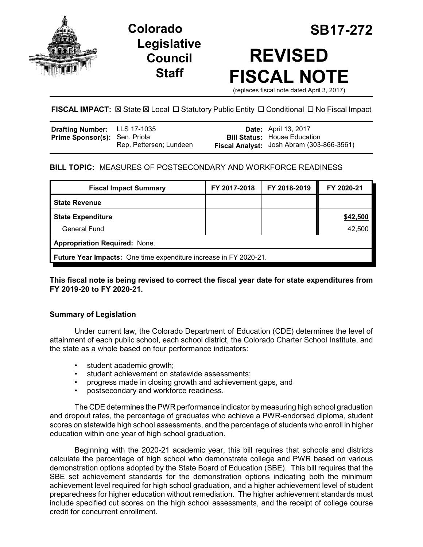

**Legislative Council Staff**

# **Colorado SB17-272 REVISED FISCAL NOTE**

(replaces fiscal note dated April 3, 2017)

## **FISCAL IMPACT:**  $\boxtimes$  State  $\boxtimes$  Local  $\Box$  Statutory Public Entity  $\Box$  Conditional  $\Box$  No Fiscal Impact

| Drafting Number: LLS 17-1035         |                         | <b>Date:</b> April 13, 2017               |
|--------------------------------------|-------------------------|-------------------------------------------|
| <b>Prime Sponsor(s): Sen. Priola</b> |                         | <b>Bill Status: House Education</b>       |
|                                      | Rep. Pettersen; Lundeen | Fiscal Analyst: Josh Abram (303-866-3561) |

## **BILL TOPIC:** MEASURES OF POSTSECONDARY AND WORKFORCE READINESS

| <b>Fiscal Impact Summary</b>                                      | FY 2017-2018 | FY 2018-2019 | FY 2020-21 |  |  |
|-------------------------------------------------------------------|--------------|--------------|------------|--|--|
| <b>State Revenue</b>                                              |              |              |            |  |  |
| <b>State Expenditure</b>                                          |              |              | \$42,500   |  |  |
| <b>General Fund</b>                                               |              |              | 42,500     |  |  |
| <b>Appropriation Required: None.</b>                              |              |              |            |  |  |
| Future Year Impacts: One time expenditure increase in FY 2020-21. |              |              |            |  |  |

**This fiscal note is being revised to correct the fiscal year date for state expenditures from FY 2019-20 to FY 2020-21.**

### **Summary of Legislation**

Under current law, the Colorado Department of Education (CDE) determines the level of attainment of each public school, each school district, the Colorado Charter School Institute, and the state as a whole based on four performance indicators:

- student academic growth;
- student achievement on statewide assessments;
- progress made in closing growth and achievement gaps, and
- postsecondary and workforce readiness.

The CDE determines the PWR performance indicator by measuring high school graduation and dropout rates, the percentage of graduates who achieve a PWR-endorsed diploma, student scores on statewide high school assessments, and the percentage of students who enroll in higher education within one year of high school graduation.

Beginning with the 2020-21 academic year, this bill requires that schools and districts calculate the percentage of high school who demonstrate college and PWR based on various demonstration options adopted by the State Board of Education (SBE). This bill requires that the SBE set achievement standards for the demonstration options indicating both the minimum achievement level required for high school graduation, and a higher achievement level of student preparedness for higher education without remediation. The higher achievement standards must include specified cut scores on the high school assessments, and the receipt of college course credit for concurrent enrollment.